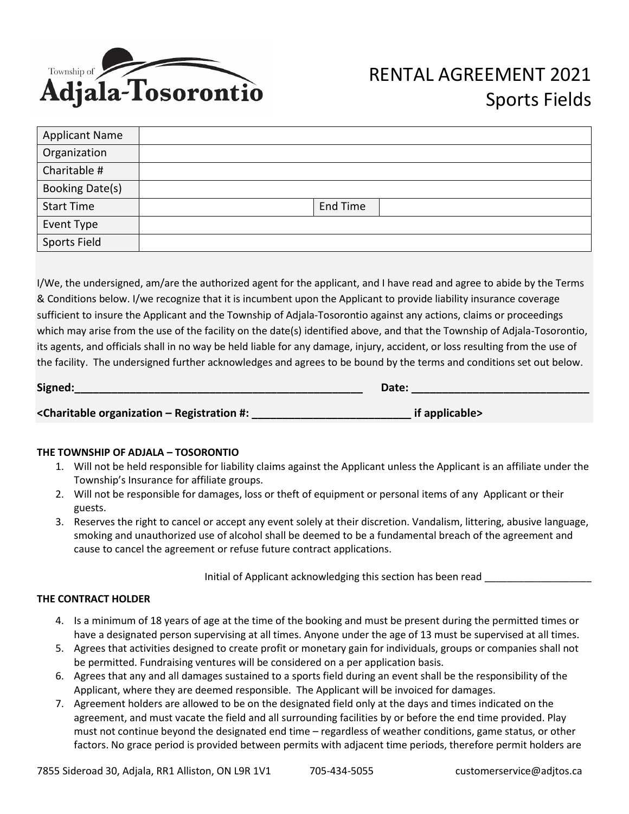

| <b>Applicant Name</b> |          |
|-----------------------|----------|
| Organization          |          |
| Charitable #          |          |
| Booking Date(s)       |          |
| <b>Start Time</b>     | End Time |
| Event Type            |          |
| <b>Sports Field</b>   |          |

I/We, the undersigned, am/are the authorized agent for the applicant, and I have read and agree to abide by the Terms & Conditions below. I/we recognize that it is incumbent upon the Applicant to provide liability insurance coverage sufficient to insure the Applicant and the Township of Adjala-Tosorontio against any actions, claims or proceedings which may arise from the use of the facility on the date(s) identified above, and that the Township of Adjala-Tosorontio, its agents, and officials shall in no way be held liable for any damage, injury, accident, or loss resulting from the use of the facility. The undersigned further acknowledges and agrees to be bound by the terms and conditions set out below.

| Signed:                                                                                               | Date:          |
|-------------------------------------------------------------------------------------------------------|----------------|
| <charitable #:<="" -="" organization="" registration="" td=""><td>if applicable&gt;</td></charitable> | if applicable> |

## **THE TOWNSHIP OF ADJALA – TOSORONTIO**

- 1. Will not be held responsible for liability claims against the Applicant unless the Applicant is an affiliate under the Township's Insurance for affiliate groups.
- 2. Will not be responsible for damages, loss or theft of equipment or personal items of any Applicant or their guests.
- 3. Reserves the right to cancel or accept any event solely at their discretion. Vandalism, littering, abusive language, smoking and unauthorized use of alcohol shall be deemed to be a fundamental breach of the agreement and cause to cancel the agreement or refuse future contract applications.

Initial of Applicant acknowledging this section has been read

## **THE CONTRACT HOLDER**

- 4. Is a minimum of 18 years of age at the time of the booking and must be present during the permitted times or have a designated person supervising at all times. Anyone under the age of 13 must be supervised at all times.
- 5. Agrees that activities designed to create profit or monetary gain for individuals, groups or companies shall not be permitted. Fundraising ventures will be considered on a per application basis.
- 6. Agrees that any and all damages sustained to a sports field during an event shall be the responsibility of the Applicant, where they are deemed responsible. The Applicant will be invoiced for damages.
- 7. Agreement holders are allowed to be on the designated field only at the days and times indicated on the agreement, and must vacate the field and all surrounding facilities by or before the end time provided. Play must not continue beyond the designated end time – regardless of weather conditions, game status, or other factors. No grace period is provided between permits with adjacent time periods, therefore permit holders are